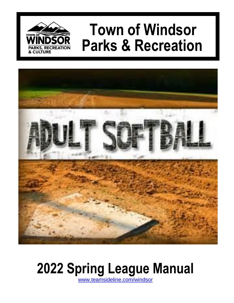

# **Town of Windsor Parks & Recreation**



# **2022 Spring League Manual**

[www.teamsideline.com/windsor](http://www.teamsideline.com/windsor)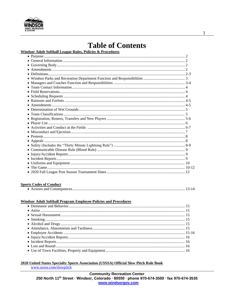

# **Table of Contents**

# Windsor Adult Softball League Rules, Policies & Procedures

#### **Sports Codes of Conduct**

|--|--|--|--|--|

#### **Windsor Adult Softball Program Employee Policies and Procedures**

#### 2020 United States Specialty Sports Association (USSSA) Official Slow Pitch Rule Book

www.usssa.com/slowpitch

 $\mathbf{1}$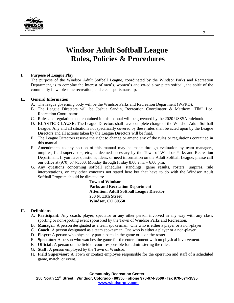

# **Windsor Adult Softball League Rules, Policies & Procedures**

# **I. Purpose of League Play**

The purpose of the Windsor Adult Softball League, coordinated by the Windsor Parks and Recreation Department, is to combine the interest of men's, women's and co-ed slow pitch softball, the spirit of the community in wholesome recreation, and clean sportsmanship.

# **II. General Information**

- A. The league governing body will be the Windsor Parks and Recreation Department (WPRD).
- B. The League Directors will be Joshua Sandin, Recreation Coordinator & Matthew "Tiki" Lee, Recreation Coordinator.
- C. Rules and regulations not contained in this manual will be governed by the 2020 USSSA rulebook.
- D. **ELASTIC CLAUSE:** The League Directors shall have complete charge of the Windsor Adult Softball League. Any and all situations not specifically covered by these rules shall be acted upon by the League Directors and all actions taken by the League Directors will be final.
- E. The League Directors reserve the right to change or amend any of the rules or regulations contained in this manual.
- F. Amendments to any section of this manual may be made through evaluation by team managers, umpires, field supervisors, etc., as deemed necessary by the Town of Windsor Parks and Recreation Department. If you have questions, ideas, or need information on the Adult Softball League, please call our office at (970) 674-3500, Monday through Friday 8:00 a.m. – 6:00 p.m.
- G. Any questions concerning softball schedules, standings, game results, rosters, umpires, rule interpretations, or any other concerns not stated here but that have to do with the Windsor Adult Softball Program should be directed to:

**Town of Windsor Parks and Recreation Department Attention: Adult Softball League Director 250 N. 11th Street Windsor, CO 80550**

# **II. Definitions**

- A. **Participant:** Any coach, player, spectator or any other person involved in any way with any class, sporting or non-sporting event sponsored by the Town of Windsor Parks and Recreation.
- B. **Manager:** A person designated as a team spokesman. One who is either a player or a non-player.
- C. **Coach:** A person designated as a team spokesman. One who is either a player or a non-player.
- D. **Player:** A person who physically participates in the game or is on the roster.
- E. **Spectator:** A person who watches the game for the entertainment with no physical involvement.
- F. **Official:** A person on the field or court responsible for administering the rules.
- G. **Staff:** A person employed by the Town of Windsor.
- H. **Field Supervisor:** A Town or contact employee responsible for the operation and staff of a scheduled game, match, or event.

#### **Community Recreation Center**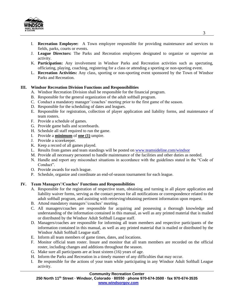

- I. **Recreation Employee:** A Town employee responsible for providing maintenance and services to fields, parks, courts or events.
- J. **League Directors:** The Parks and Recreation employees designated to organize or supervise an activity.
- K. **Participation:** Any involvement in Windsor Parks and Recreation activities such as spectating, officiating, playing, coaching, registering for a class or attending a sporting or non-sporting event.
- L. **Recreation Activities:** Any class, sporting or non-sporting event sponsored by the Town of Windsor Parks and Recreation.

#### **III. Windsor Recreation Division Functions and Responsibilities**

- A. Windsor Recreation Division shall be responsible for the financial program.
- B. Responsible for the general organization of the adult softball program.
- C. Conduct a mandatory manager'/coaches' meeting prior to the first game of the season.
- D. Responsible for the scheduling of dates and leagues.
- E. Responsible for registration, collection of player application and liability forms, and maintenance of team rosters.
- F. Provide a schedule of games.
- G. Provide game balls and scoreboards.
- H. Schedule all staff required to run the game.
- I. Provide a **minimum** of **one (1)** umpire.
- J. Provide a scorekeeper.
- K. Keep a record of all games played.
- L. Results from games and team standings will be posted on [www.teamsideline.com/windsor](http://www.teamsideline.com/windsor)
- M. Provide all necessary personnel to handle maintenance of the facilities and other duties as needed.
- N. Handle and report any misconduct situations in accordance with the guidelines stated in the "Code of Conduct".
- O. Provide awards for each league.
- P. Schedule, organize and coordinate an end-of-season tournament for each league.

#### **IV. Team Managers'/Coaches' Functions and Responsibilities**

- A. Responsible for the registration of respective team, obtaining and turning in all player application and liability waiver forms, serving as the contact person for all notifications or correspondence related to the adult softball program, and assisting with retrieving/obtaining pertinent information upon request.
- B. Attend mandatory managers'/coaches' meeting.
- C. All managers/coaches are responsible for acquiring and possessing a thorough knowledge and understanding of the information contained in this manual, as well as any printed material that is mailed or distributed by the Windsor Adult Softball League staff.
- D. Managers/coaches are responsible for informing all team members and respective participants of the information contained in this manual, as well as any printed material that is mailed or distributed by the Windsor Adult Softball League staff.
- E. Inform all team members of game times, dates, and locations.
- F. Monitor official team roster. Insure and monitor that all team members are recorded on the official roster, including changes and additions throughout the season.
- G. Make sure all participants are at least sixteen (16) years of age.
- H. Inform the Parks and Recreation in a timely manner of any difficulties that may occur.
- I. Be responsible for the actions of your team while participating in any Windsor Adult Softball League activity.

#### **Community Recreation Center**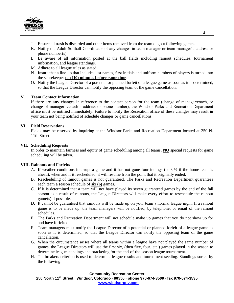

- J. Ensure all trash is discarded and other items removed from the team dugout following games.
- K. Notify the Adult Softball Coordinator of any changes in team manager or team manager's address or phone number(s).
- L. Be aware of all information posted at the ball fields including rainout schedules, tournament information, and league standings.
- M. Adhere to all league rules as stated.
- N. Insure that a line-up that includes last names, first initials and uniform numbers of players is turned into the scorekeeper **ten (10) minutes before game time**.
- O. Notify the League Director of a potential or planned forfeit of a league game as soon as it is determined, so that the League Director can notify the opposing team of the game cancellation.

## **V. Team Contact Information**

If there are **any** changes in reference to the contact person for the team (change of manager/coach, or change of manager's/coach's address or phone number), the Windsor Parks and Recreation Department office must be notified immediately. Failure to notify the Recreation office of these changes may result in your team not being notified of schedule changes or game cancellations.

#### **VI. Field Reservations**

Fields may be reserved by inquiring at the Windsor Parks and Recreation Department located at 250 N. 11th Street.

#### **VII. Scheduling Requests**

In order to maintain fairness and equity of game scheduling among all teams, **NO** special requests for game scheduling will be taken.

#### **VIII. Rainouts and Forfeits**

- A. If weather conditions interrupt a game and it has not gone four innings (or  $3\frac{1}{2}$  if the home team is ahead), when and if it rescheduled, it will resume from the point that it originally ended.
- B. Rescheduling of rainout games is not guaranteed. The Parks and Recreation Department guarantees each team a season schedule of **six (6)** games.
- C. If it is determined that a team will not have played its seven guaranteed games by the end of the fall season as a result of rainouts, the League Directors will make every effort to reschedule the rainout game(s) if possible.
- D. It cannot be guaranteed that rainouts will be made up on your team's normal league night. If a rainout game is to be made up, the team managers will be notified, by telephone, or email of the rainout schedules.
- E. The Parks and Recreation Department will not schedule make up games that you do not show up for and have forfeited.
- F. Team managers must notify the League Director of a potential or planned forfeit of a league game as soon as it is determined, so that the League Director can notify the opposing team of the game cancellation.
- G. When the circumstance arises where all teams within a league have not played the same number of games, the League Directors will use the first six, (then five, four, etc.) games **played** in the season to determine league standings and bracketing for the end-of-the-season league tournament.
- H. Tie-breakers criterion is used to determine league results and tournament seeding. Standings sorted by the following: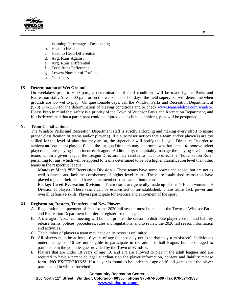

- a. Winning Percentage Descending
- b. Head to Head
- c. Head to Head Differential
- d. Avg. Runs Against
- e. Avg. Runs Differential
- f. Total Runs Differential
- g. Lowest Number of Forfeits
- h. Coin Toss

## **IX. Determination of Wet Ground**

On weekdays prior to 6:00 p.m., a determination of field conditions will be made by the Parks and Recreation staff. After 6:00 p.m. or on the weekends or holidays, the field supervisor will determine when grounds are too wet to play. On questionable days, call the Windsor Parks and Recreation Department at (970) 674-3500 for the determination of playing conditions and/or check [www.teamsideline.com/windsor.](http://www.teamsideline.com/windsor) Please keep in mind that safety is a priority of the Town of Windsor Parks and Recreation Department, and if it is determined that a participant could be injured due to field conditions, play will be postponed.

## **X. Team Classifications**

The Windsor Parks and Recreation Department staff is strictly enforcing and making every effort to insure proper classification of teams and/or player(s). If a supervisor notices that a team and/or player(s) are too skilled for the level of play that they are at, the supervisor will notify the League Directors. In order to achieve an "equitable playing field", the League Directors may determine whether or not to remove select players that are playing in an incorrect league. Additionally, to equitably manage the playing level among teams within a given league, the League Directors may resolve to put into effect the "Equalization Rule" pertaining to runs, which will be applied to teams determined to be of a higher classification level than other teams in the respective league.

**Monday: Men's "E" Recreation Division** – These teams have some power and speed, but are not as well balanced and lack the consistency of higher level teams. These are established teams that have played together before and have some members that can hit home runs.

**Friday: Co-ed Recreation Division –** These teams are generally made up of men's E and women's E Division II players. These teams can be established or un-established. These teams lack power and overall defensive skills. Players participate for exercise and enjoyment of the sport.

#### **XI. Registration, Rosters, Transfers, and New Players**

- A. Registration and payment of fees for the 2020 fall season must be made at the Town of Windsor Parks and Recreation Department in order to register for the league.
- B. A managers'/coaches' meeting will be held prior to the season to distribute player consent and liability release forms, polices, procedures, rules and regulations, and to review the 2020 fall season information and activities.
- C. The number of players a team may have on its roster is unlimited.
- D. All players must be at least 16 years of age (cannot play until the day they turn sixteen). Individuals under the age of 16 are not eligible to participate in the adult softball league, but encouraged to participate in the youth league provided by the Town of Windsor.
- E. Players that are under 18 years of age (16 and 17) are allowed to play in the adult leagues and are required to have a parent or legal guardian sign the player information, consent and liability release form. **NO EXCEPTIONS**! If a player is found to be under that age of 16, all games that the player participated in will be forfeited.

#### **Community Recreation Center**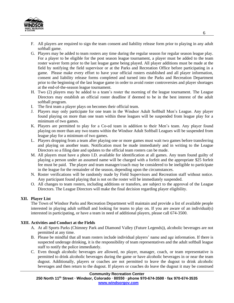

- F. All players are required to sign the team consent and liability release form prior to playing in any adult softball game.
- G. Players may be added to team rosters any time during the regular season for regular season league play. For a player to be eligible for the post season league tournament, a player must be added to the team roster waiver form prior to the last league game being played. All player additions must be made at the field by notifying the field supervisor or at the Parks and Recreation Office before participating in a game. Please make every effort to have your official rosters established and all player information, consent and liability release forms completed and turned into the Parks and Recreation Department prior to the beginning of the last league game in order to avoid roster controversies and player shortages at the end-of-the-season league tournament.
- H. Two (2) players may be added to a team's roster the morning of the league tournament. The League Directors may establish an official roster deadline if deemed to be in the best interest of the adult softball program.
- I. The first team a player plays on becomes their official team.
- J. Players may only participate for one team in the Windsor Adult Softball Men's League. Any player found playing on more than one team within these leagues will be suspended from league play for a minimum of two games.
- K. Players are permitted to play for a Co-ed team in addition to their Men's team. Any player found playing on more than any two teams within the Windsor Adult Softball Leagues will be suspended from league play for a minimum of two games.
- L. Players dropping from a team after playing one or more games must wait two games before transferring and playing on another team. Notification must be made immediately and in writing to the League Directors so a filing date and updates to the official team rosters can be made.
- M. All players must have a photo I.D. available for identification at all games. Any team found guilty of playing a person under an assumed name will be charged with a forfeit and the appropriate \$25 forfeit fee must be paid. The player and team manager/coach may be considered to be ineligible to participate in the league for the remainder of the season, depending upon the circumstances.
- N. Roster verifications will be randomly made by Field Supervisors and Recreation staff without notice. Any participant found playing that is not on the roster will be immediately suspended.
- O. All changes to team rosters, including additions or transfers, are subject to the approval of the League Directors. The League Directors will make the final decision regarding player eligibility.

# **XII. Player List**

The Town of Windsor Parks and Recreation Department will maintain and provide a list of available people interested in playing adult softball and looking for teams to play on. If you are aware of an individual(s) interested in participating, or have a team in need of additional players, please call 674-3500.

#### **XIII. Activities and Conduct at the Fields**

- A. At all Sports Parks (Chimney Park and Diamond Valley (Future Legends)), alcoholic beverages are not permitted at any time.
- B. Please be mindful that all team rosters include individual players' name and age information. If there is suspected underage drinking, it is the responsibility of team representatives and the adult softball league staff to notify the police immediately.
- C. Even though alcoholic beverages are allowed, no player, manager, coach, or team representative is permitted to drink alcoholic beverages during the game or have alcoholic beverages in or near the team dugout. Additionally, players or coaches are not permitted to leave the dugout to drink alcoholic beverages and then return to the dugout. If players or coaches do leave the dugout it may be construed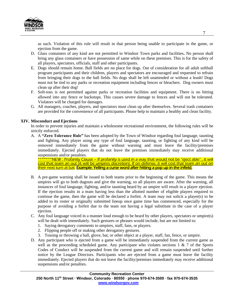

as such. Violation of this rule will result in that person being unable to participate in the game, or ejection from the game.

- D. Glass containers of any kind are not permitted in Windsor Town parks and facilities**.** No person shall bring any glass containers or have possession of same while on these premises. This is for the safety of all players, spectators, officials, staff and other participants.
- E. Dogs should remain home. Ball fields are no place for dogs. Out of consideration for all adult softball program participants and their children, players and spectators are encouraged and requested to refrain from bringing their dogs to the ball fields. No dogs shall be left unattended or without a leash! Dogs must not be tied to any parks or recreation equipment including fences or bleachers. Dog owners must clean up after their dog!
- F. Soft-toss is not permitted against parks or recreation facilities and equipment. There is no hitting allowed into any fence or backstops. This causes severe damage to fences and will not be tolerated. Violators will be charged for damages.
- G. All managers, coaches, players, and spectators must clean up after themselves. Several trash containers are provided for the convenience of all participants. Please help to maintain a healthy and clean facility.

#### **XIV. Misconduct and Ejections**

In order to prevent injuries and maintain a wholesome recreational environment, the following rules will be strictly enforced.

A. A **"Zero Tolerance Rule"** has been adopted by the Town of Windsor regarding foul language, taunting and fighting. Any player using any type of foul language, taunting, or fighting of any kind will be removed immediately from the game without warning and must leave the facility/premises immediately. Ejected players that do not leave the premises immediately may receive additional suspensions and/or penalties.

\*\*\*\*\*\*\*NEW : Profanity Clause – If profanity is used in a way that would not be "eject able" , it will cost that team an out (it will be umpires discretion). If on defense, it will cost that team an out on their next turn at bat. Example: Yelling a curse word after hitting a pop up in the infield.

- B. A pre-game warning shall be issued to both teams prior to the beginning of the game. This means the umpires will go to both dugouts and give the warning, so all players are aware. After the warning, all instances of foul language, fighting, and/or taunting heard by an umpire will result in a player ejection. If the ejection results in a team having less than the allotted number of eligible players required to continue the game, then the game will be declared a forfeit. A team may not solicit a player(s) to be added to its roster or originally submitted lineup once game time has commenced, especially for the purpose of avoiding a forfeit due to the team not having a legal substitute in the case of a player ejection.
- C. Any foul language voiced in a manner loud enough to be heard by other players, spectators or umpire(s) will be dealt with immediately. Such gestures or phrases would include, but are not limited to:
	- 1. Saying derogatory comments to umpires, staff, fans, or players.
	- 2. Flipping people off or making other derogatory gestures.
	- 3. Tossing or throwing a ball, glove, bat, or other object at a player, staff, fan, fence, or umpire.
- D. Any participant who is ejected from a game will be immediately suspended from the current game as well as the proceeding scheduled game. Any participant who violates sections  $1 \& 7$  of the Sports Codes of Conduct will be suspended from the current game and will remain suspended until further notice by the League Directors. Participants who are ejected from a game must leave the facility immediately. Ejected players that do not leave the facility/premises immediately may receive additional suspensions and/or penalties.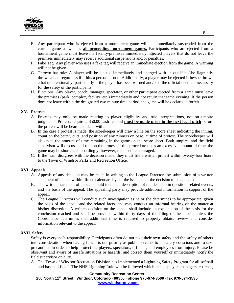

- E. Any participant who is ejected from a tournament game will be immediately suspended from the current game as well as **all proceeding tournament games.** Participants who are ejected from a tournament game must leave the facility/premises immediately. Ejected players that do not leave the premises immediately may receive additional suspensions and/or penalties.
- F. Fake Tag: Any player who uses a fake tag will receive an immediate ejection from the game. A warning will not be given.
- G. Thrown bat rule: A player will be ejected immediately and charged with an out if he/she flagrantly throws a bat, regardless if it hits a person or not. Additionally, a player may be ejected if he/she throws a bat unintentionally, particularly if the player has been warned and/or if the official deems it necessary for the safety of the participants.
- H. Ejections: Any player, coach, manager, spectator, or other participant ejected from a game must leave the premises (park, complex, facility, etc.) immediately and not return that same evening. If the person does not leave within the designated two minute time period, the game will be declared a forfeit.

#### **XV. Protests**

- A. Protests may only be made relating to player eligibility and rule interpretations, not on umpire judgments. Protests require a \$50.00 cash fee and **must be made prior to the next legal pitch** before the protest will be heard and dealt with.
- B. In the case a protest is made, the scorekeeper will draw a line on the score sheet indicating the inning, count on the batter, outs, and position of any runners on base, at time of protest. The scorekeeper will also note the amount of time remaining in the game on the score sheet. Both umpires and the field supervisor will discuss and rule on the protest. If this procedure takes an excessive amount of time, the game may be shortened accordingly; however, this is not encouraged.
- C. If the team disagrees with the decision made, they must file a written protest within twenty-four hours to the Town of Windsor Parks and Recreation Office.

#### **XVI. Appeals**

- A. Appeals of any decision may be made in writing to the League Directors by submission of a written statement of appeal within fifteen calendar days of the issuance of the decision to be appealed.
- B. The written statement of appeal should include a description of the decision in question, related events, and the basis of the appeal. The appealing party may provide additional information in support of the appeal.
- C. The League Directors will conduct such investigation as he or she determines to be appropriate, given the basis of the appeal and the related facts, and may conduct an informal hearing on the matter at his/her discretion. A written decision on the appeal shall include an explanation of the basis for the conclusion reached and shall be provided within thirty days of the filing of the appeal unless the Coordinator determines that additional time is required to properly obtain, review and consider information relevant to the appeal.

#### **XVII. Safety**

Safety is everyone's responsibility. Participants often do not take their own safety and the safety of others into consideration when having fun. It is our priority as public servants to be safety-conscious and to take precautions in order to help protect the players, spectators, officials, and employees from injury. Please be observant and aware of unsafe situations or hazards, and correct them yourself or immediately notify the field supervisor on duty.

A. The Town of Windsor Recreation Division has implemented a Lightning Safety Program for all softball and baseball fields. The NHS Lightning Rule will be followed which means players managers, coaches,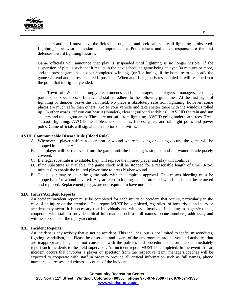

spectators and staff must leave the fields and dugouts, and seek safe shelter if lightning is observed. Lightning's behavior is random and unpredictable. Preparedness and quick response are the best defenses toward lightning hazards.

Game officials will announce that play is suspended until lightning is no longer visible. If the suspension of play is such that it results in the next scheduled game being delayed 30 minutes or more, and the present game has not yet completed 4 innings (or 3 ½ innings if the home team is ahead), the game will end and be rescheduled if possible. When and if a game is rescheduled, it will resume from the point that it originally ended.

The Town of Windsor strongly recommends and encourages all players, managers, coaches, participants, spectators, officials, and staff to adhere to the following guidelines. At the first signs of lightning or thunder, leave the ball field. No place is absolutely safe from lightning; however, some places are much safer than others. Go to your vehicle and take shelter there with the windows rolled up. In other words, "if you can hear it (thunder), clear it (suspend activities)." AVOID the rain and sun shelters and the dugout areas. These are not safe from lightning. AVOID going underneath trees. Trees "attract" lightning. AVOID metal bleachers, benches, fences, gates, and tall light poles and power poles. Game officials will signal a resumption of activities.

#### **XVIII. Communicable Disease Rule (Blood Rule)**

- A. Whenever a player suffers a laceration or wound where bleeding or oozing occurs, the game will be stopped immediately.
- B. The player will be removed from the game until the bleeding is stopped and the wound is adequately covered.
- C. If a legal substitute is available, they will replace the injured player and play will continue.
- D. If no substitute is available, the game clock will be stopped for a reasonable length of time (3-to-5 minutes) to enable the injured player time to dress his/her wound.
- E. The player may re-enter the game only with the umpire's approval. This means bleeding must be stopped and/or wound covered. Any article of clothing that is saturated with blood must be removed and replaced. Replacement jerseys are not required to have numbers.

#### **XIX. Injury/Accident Reports**

An accident/incident report must be completed for each injury or accident that occurs, particularly in the case of an injury on the premises. This report MUST be completed, regardless of how trivial an injury or accident may seem. It is necessary that individuals and witnesses involved, including managers/coaches, cooperate with staff to provide critical information such as full names, phone numbers, addresses, and witness accounts of the injury/accident.

#### **XX. Incident Reports**

An incident is any activity that is not an accident. This includes, but is not limited to thefts, misconducts, fighting, vandalism, etc. Please be observant and aware of the environment around you and activities that are inappropriate, illegal, or not consistent with the policies and procedures set forth, and immediately report such incidents to the field supervisor. An incident report MUST be completed. In the event that an incident occurs that involves a player or spectator from the respective team, managers/coaches will be expected to cooperate with staff in order to provide all critical information such as full names, phone numbers, addresses, and witness accounts of the incident.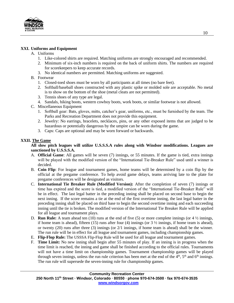

## **XXI. Uniforms and Equipment**

## A. Uniforms

- 1. Like-colored shirts are required. Matching uniforms are strongly encouraged and recommended.
- 2. Minimum of six-inch numbers is required on the back of uniform shirts. The numbers are required for scorekeepers to keep accurate records.
- 3. No identical numbers are permitted. Matching uniforms are suggested.
- B. Footwear
	- 1. Closed-toed shoes must be worn by all participants at all times (no bare feet).
	- 2. Softball/baseball shoes constructed with any plastic spike or molded sole are acceptable. No metal is to show on the bottom of the shoe (metal cleats are not permitted).
	- 3. Tennis shoes of any type are legal.
	- 4. Sandals, hiking boots, western cowboy boots, work boots, or similar footwear is not allowed.
- C. Miscellaneous Equipment
	- 1. Softball gear: Bats, gloves, mitts, catcher's gear, uniforms, etc., must be furnished by the team. The Parks and Recreation Department does not provide this equipment.
	- 2. Jewelry: No earrings, bracelets, necklaces, pins, or any other exposed items that are judged to be hazardous or potentially dangerous by the umpire can be worn during the game.
	- 3. Caps: Caps are optional and may be worn forward or backwards.

## **XXII. The Game**

#### **All slow pitch leagues will utilize U.S.S.S.A rules along with Windsor modifications. Leagues are sanctioned by U.S.S.S.A.**

- A. **Official Game**: All games will be seven (7) innings, or 55 minutes. If the game is tied, extra innings will be played with the modified version of the "International Tie-Breaker Rule" used until a winner is decided.
- B. **Coin Flip**: For league and tournament games, home teams will be determined by a coin flip by the official at the pregame conference. To help avoid game delays, teams arriving late to the plate for pregame conferences will be designated as visitors.
- C. **International Tie Breaker Rule (Modified Version):** After the completion of seven (7) innings or time has expired and the score is tied, a modified version of the "International Tie-Breaker Rule" will be in effect. The last legal batter in the preceding inning shall be placed on second base to begin the next inning. If the score remains a tie at the end of the first overtime inning, the last legal batter in the preceding inning shall be placed on third base to begin the second overtime inning and each succeeding inning until the tie is broken. The modified version of the International Tie Breaker Rule will be applied for all league and tournament plays.
- D. **Run Rule:** A team ahead ten (10) runs at the end of five (5) or more complete innings (or 4  $\frac{1}{2}$  innings, if home team is ahead), fifteen (15) runs after four (4) innings (or  $3\frac{1}{2}$  innings, if home team is ahead), or twenty (20) runs after three (3) innings (or  $2/1$  innings, if home team is ahead) shall be the winner. The run rule will be in effect for all league and tournament games, including championship games.
- E. **Flip-Flop Rule:** The USSSA Flip-Flop Rule will be used for all league and tournament games.
- F. **Time Limit:** No new inning shall begin after 55 minutes of play. If an inning is in progress when the time limit is reached, the inning and game shall be finished according to the official rules. Tournaments will not have a time limit on championship games. Tournament championship games will be played through seven innings, unless the run rule criterion has been met at the end of the  $4<sup>th</sup>$ ,  $5<sup>th</sup>$  and  $6<sup>th</sup>$  innings. The run rule will supersede the seven-inning rule for championship games.

#### **Community Recreation Center**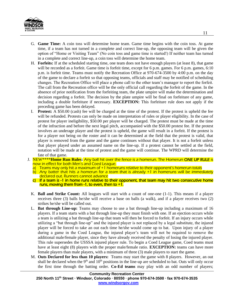

- G. **Game Time:** A coin toss will determine home team. Game time begins with the coin toss. At game time, if a team has not turned in a complete and correct line-up, the opposing team will be given the option of "Home or Visiting Team" (No coin toss and game time is started!) If neither team has turned in a complete and correct line-up, a coin toss will determine the home team.
- H. **Forfeits:** If at the scheduled starting time, one team does not have enough players (at least 8), that game will be recorded as a forfeit. Game time is forfeit time, except for 6 p.m. games. For 6 p.m. games, 6:10 p.m. is forfeit time. Teams must notify the Recreation Office at 970-674-3500 by 4:00 p.m. on the day of the game to declare a forfeit so that opposing teams, officials and staff may be notified of scheduling changes. The Recreation Office will place a phone call to the other team's manager to report the forfeit. The call from the Recreation office will be the only official call regarding the forfeit of the game. In the absence of prior notification from the forfeiting team, the plate umpire will make the determination and decision regarding a forfeit. The decision by the plate umpire will be final on forfeiture of any game, including a double forfeiture if necessary. **EXCEPTION:** This forfeiture rule does not apply if the preceding game has been delayed.
- I. **Protest:** A \$50.00 (cash) fee will be charged at the time of the protest. If the protest is upheld the fee will be refunded. Protests can only be made on interpretation of rules or player eligibility. In the case of protest for player ineligibility, \$50.00 per player will be charged. The protest must be made at the time of the infraction and before the next legal pitch, accompanied with the \$50.00 protest fee. If the protest involves an underage player and the protest is upheld, the game will result in a forfeit. If the protest is for a player not being on the roster and it can be determined at the field that the protest is valid, that player is removed from the game and the game continues without that player. It is not a forfeit unless that player played under an assumed name on the line-up. If a protest cannot be settled at the field, notation will be made at the time of protest and the game will continue. The WPRD will determine the fate of that game.
- J. NEW\*\*\*\***Home Run Rules:** Any ball hit over the fence is a homerun. The Homerun ONE UP RULE is now in effect for both Men's and Coed League.
	- a) Teams may only hit a maximum of +1 homeruns relative to their opponent's homerun totals
	- b) Any batter that hits a homerun for a team that is already +1 in homeruns will be immediately declared out. Runners cannot advance
	- c) If a team is  $-1$  in home runs relative to their opponent, that team may hit two consecutive home runs, moving them from  $-1$ , to even, then to  $+1$ .
	- K. **Ball and Strike Count:** All leagues will start with a count of one-one (1-1). This means if a player receives three (3) balls he/she will receive a base on balls (a walk), and if a player receives two (2) strikes he/she will be called out.
	- L. **Bat through Line-up:** Teams may choose to use a bat through line-up including a maximum of 16 players. If a team starts with a bat through line-up they must finish with one. If an ejection occurs while a team is utilizing a bat through line-up that team will then be forced to forfeit. If an injury occurs while utilizing a "bat through line-up" and the injured player is not replaced by a legal substitute, the injured player will be forced to take an out each time he/she would come up to bat. Upon injury of a player during a game in the Coed League, the injured player's team will not be required to remove the additional male/female player, since they have already received the penalty of losing the injured player. This rule supersedes the USSSA injured player rule. To begin a Coed League game, Coed teams must have at least eight (8) players with the proper male/female ratio. **EXCEPTION:** teams can have more female players than male players, with a minimum of three (3) male players to start the game.
	- M. **Outs Declared for less than 10 players:** Teams may start the game with 8 players. However, an out shall be declared when the  $9<sup>th</sup>$  and  $10<sup>th</sup>$  positions in the line-up are scheduled to bat. Outs will only occur the first time through the batting order. **Co-Ed teams** may play with an odd number of players;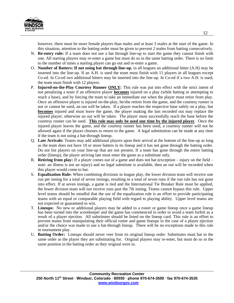

however, there must be more female players than males and at least 3 males at the start of the game. In this situation, attention to the batting order must be given to prevent 2 males from batting consecutively.

- N. **Re-entry rule:** If a team does not use a bat through line-up to start the game they cannot finish with one. All starting players may re-enter a game but must do so in the same batting order. There is no limit to the number of times a starting player can go out and re-enter a game.
- O. **Number of Batters: If not using bat through line-up**, in all leagues an additional hitter (A.H) may be inserted into the line-up. If an A.H. is used the team must finish with 11 players in all leagues except Co-ed. In Co-ed two additional hitters may be inserted into the line-up. In Co-ed if a two A.H. is used, the team must finish with 12 players.
- P. **Injured-on-the-Play Courtesy Runner ONLY:** This rule was put into effect with the strict intent of not penalizing a team if an offensive player **becomes** injured on a play (while batting or attempting to reach a base), and by forcing the team to take an immediate out when the player must retire from play. Once an offensive player is injured on-the-play, he/she retires from the game, and the courtesy runner is not or cannot be used, an out will be taken. If a player reaches the respective base safely on a play, but **becomes** injured and must leave the game, the player making the last recorded out may replace the injured player; otherwise an out will be taken. The player must successfully reach the base before the courtesy runner can be used. **This rule may only be used one time by the injured player**. Once the injured player leaves the game, and the courtesy runner has been used, a courtesy runner will not be allowed again if the player chooses to return to the game. A legal substitution can be made at any time if the team is not using a bat-through lineup.
- Q. **Late Arrivals:** Teams may add additional players upon their arrival at the bottom of the line-up as long as the team does not have 10 or more batters in its lineup and it has not gone through the batting order. Do not list players on your line-up that are not present. If a team has gone through the entire batting order (lineup), the player arriving late must enter the game as a substitute only.
- R. **Retiring from play:** If a player comes out of a game and does not bat (exception injury on the field note: an illness is not an injury) and no legal substitute is available, then an out will be recorded when this player would come to bat.
- S. **Equalization Rule:** When combining divisions in league play, the lower division team will receive one run per inning for a total of seven innings, resulting in a total of seven runs if the run rule has not gone into effect. If at seven innings, a game is tied and the International Tie Breaker Rule must be applied, the lower division team will not receive runs past the 7th inning. Teams cannot bypass this rule. Upper level teams should be mindful that the use of the equalization rule is an effort to provide participating teams with an equal or comparable playing field with regard to playing ability. Upper level teams are not expected or guaranteed to win.
- T. **Lineups:** No new or additional players may be added to a roster or game lineup once a game lineup has been turned into the scorekeeper and the game has commenced in order to avoid a team forfeit as a result of a player ejection. All substitutes should be listed on the lineup card. This rule is an effort to prevent teams from manipulating their official roster and game lineups in the case of a player ejection and/or the choice was made to use a bat-through lineup. There will be no exceptions made to this rule in tournament play.
- U. **Batting Order:** Lineups should never veer from its original lineup order. Substitutes must bat in the same order as the player they are substituting for. Original players may re-enter, but must do so in the same position in the batting order as they original were in.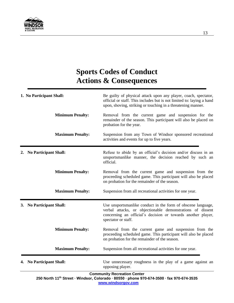

# **Sports Codes of Conduct Actions & Consequences**

|    | 1. No Participant Shall:     | Be guilty of physical attack upon any player, coach, spectator,<br>official or staff. This includes but is not limited to: laying a hand<br>upon, shoving, striking or touching in a threatening manner.          |
|----|------------------------------|-------------------------------------------------------------------------------------------------------------------------------------------------------------------------------------------------------------------|
|    | <b>Minimum Penalty:</b>      | Removal from the current game and suspension for the<br>remainder of the season. This participant will also be placed on<br>probation for the year.                                                               |
|    | <b>Maximum Penalty:</b>      | Suspension from any Town of Windsor sponsored recreational<br>activities and events for up to five years.                                                                                                         |
| 2. | <b>No Participant Shall:</b> | Refuse to abide by an official's decision and/or discuss in an<br>unsportsmanlike manner, the decision reached by such an<br>official.                                                                            |
|    | <b>Minimum Penalty:</b>      | Removal from the current game and suspension from the<br>proceeding scheduled game. This participant will also be placed<br>on probation for the remainder of the season.                                         |
|    | <b>Maximum Penalty:</b>      | Suspension from all recreational activities for one year.                                                                                                                                                         |
|    | 3. No Participant Shall:     | Use unsportsmanlike conduct in the form of obscene language,<br>verbal attacks, or objectionable demonstrations of dissent<br>concerning an official's decision or towards another player,<br>spectator or staff. |
|    | <b>Minimum Penalty:</b>      | Removal from the current game and suspension from the<br>proceeding scheduled game. This participant will also be placed<br>on probation for the remainder of the season.                                         |
|    | <b>Maximum Penalty:</b>      | Suspension from all recreational activities for one year.                                                                                                                                                         |
|    | 4. No Participant Shall:     | Use unnecessary roughness in the play of a game against an<br>opposing player.                                                                                                                                    |

#### **Community Recreation Center**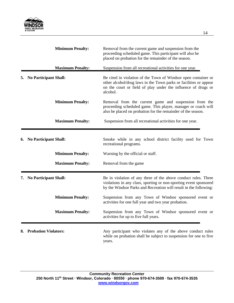

| <b>Minimum Penalty:</b>            | Removal from the current game and suspension from the<br>proceeding scheduled game. This participant will also be<br>placed on probation for the remainder of the season.                                        |
|------------------------------------|------------------------------------------------------------------------------------------------------------------------------------------------------------------------------------------------------------------|
| <b>Maximum Penalty:</b>            | Suspension from all recreational activities for one year.                                                                                                                                                        |
| <b>No Participant Shall:</b><br>5. | Be cited in violation of the Town of Windsor open container or<br>other alcohol/drug laws in the Town parks or facilities or appear<br>on the court or field of play under the influence of drugs or<br>alcohol. |
| <b>Minimum Penalty:</b>            | Removal from the current game and suspension from the<br>proceeding scheduled game. This player, manager or coach will<br>also be placed on probation for the remainder of the season.                           |
| <b>Maximum Penalty:</b>            | Suspension from all recreational activities for one year.                                                                                                                                                        |
| <b>No Participant Shall:</b><br>6. | Smoke while in any school district facility used for Town<br>recreational programs.                                                                                                                              |
| <b>Minimum Penalty:</b>            | Warning by the official or staff.                                                                                                                                                                                |
| <b>Maximum Penalty:</b>            | Removal from the game                                                                                                                                                                                            |
| <b>No Participant Shall:</b><br>7. | Be in violation of any three of the above conduct rules. Three<br>violations in any class, sporting or non-sporting event sponsored<br>by the Windsor Parks and Recreation will result in the following:         |
| <b>Minimum Penalty:</b>            | Suspension from any Town of Windsor sponsored event or<br>activities for one full year and two year probation.                                                                                                   |
| <b>Maximum Penalty:</b>            | Suspension from any Town of Windsor sponsored event or<br>activities for up to five full years.                                                                                                                  |
| 8. Probation Violators:            | Any participant who violates any of the above conduct rules<br>while on probation shall be subject to suspension for one to five<br>years.                                                                       |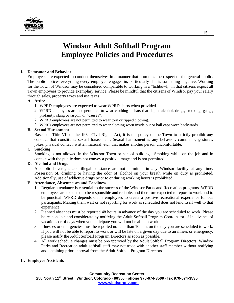

# **Windsor Adult Softball Program Employee Policies and Procedures**

## **I. Demeanor and Behavior**

Employees are expected to conduct themselves in a manner that promotes the respect of the general public. The public notices everything every employee engages in, particularly if it is something negative. Working for the Town of Windsor may be considered comparable to working in a "fishbowl," in that citizens expect all Town employees to provide exemplary service. Please be mindful that the citizens of Windsor pay your salary through sales, property taxes and use taxes.

## **A. Attire**

- 1. WPRD employees are expected to wear WPRD shirts when provided.
- 2. WPRD employees are not permitted to wear clothing or hats that depict alcohol, drugs, smoking, gangs, profanity, slang or jargon, or "causes".
- 2. WPRD employees are not permitted to wear torn or ripped clothing.
- 3. WPRD employees are not permitted to wear clothing worn inside out or ball caps worn backwards.

## **B. Sexual Harassment**

Based on Title VII of the 1964 Civil Rights Act, it is the policy of the Town to strictly prohibit any conduct that constitutes sexual harassment. Sexual harassment is any behavior, comments, gestures, jokes, physical contact, written material, etc., that makes another person uncomfortable.

#### **C. Smoking**

Smoking is not allowed in the Windsor Town or school buildings. Smoking while on the job and in contact with the public does not convey a positive image and is not permitted.

#### **D. Alcohol and Drugs**

Alcoholic beverages and illegal substance are not permitted in any Windsor facility at any time. Possession of, drinking or having the odor of alcohol on your breath while on duty is prohibited. Additionally, use of addictive drugs prior to or during working hours is prohibited.

# **E. Attendance, Absenteeism and Tardiness**

- 1. Regular attendance is essential to the success of the Windsor Parks and Recreation programs. WPRD employees are expected to be responsible and reliable, and therefore expected to report to work and to be punctual. WPRD depends on its employees to create a positive recreational experience for our participants. Making them wait or not reporting for work as scheduled does not lend itself well to that experience.
- 2. Planned absences must be reported 48 hours in advance of the day you are scheduled to work. Please be responsible and considerate by notifying the Adult Softball Program Coordinator of in advance of vacations or of days when you anticipate you will not be able to work.
- 3. Illnesses or emergencies must be reported no later than 10 a.m. on the day you are scheduled to work. If you will not be able to report to work or will be late on a given day due to an illness or emergency, please notify the Adult Softball Program Directors as soon as possible.
- 4. All work schedule changes must be pre-approved by the Adult Softball Program Directors. Windsor Parks and Recreation adult softball staff may not trade with another staff member without notifying and obtaining prior approval from the Adult Softball Program Directors.

#### **II. Employee Accidents**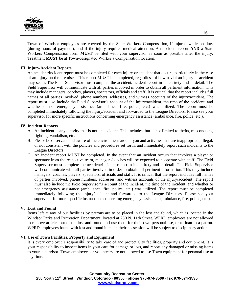

Town of Windsor employees are covered by the State Workers Compensation, if injured while on duty (during hours of payment), and if the injury requires medical attention. An accident report **AND** a State Workers Compensation form **MUST** be filed with your supervisor as soon as possible after the injury. Treatment **MUST** be at Town-designated Worker's Compensation location.

#### **III. Injury/Accident Reports**

An accident/incident report must be completed for each injury or accident that occurs, particularly in the case of an injury on the premises. This report MUST be completed, regardless of how trivial an injury or accident may seem. The Field Supervisor must complete the accident/incident report in its entirety and in detail. The Field Supervisor will communicate with all parties involved in order to obtain all pertinent information. This may include managers, coaches, players, spectators, officials and staff. It is critical that the report includes full names of all parties involved, phone numbers, addresses, and witness accounts of the injury/accident. The report must also include the Field Supervisor's account of the injury/accident, the time of the accident, and whether or not emergency assistance (ambulance, fire, police, etc.) was utilized. The report must be completed immediately following the injury/accident and forwarded to the League Directors. Please see your supervisor for more specific instructions concerning emergency assistance (ambulance, fire, police, etc.).

#### **IV. Incident Reports**

- A. An incident is any activity that is not an accident. This includes, but is not limited to thefts, misconducts, fighting, vandalism, etc.
- B. Please be observant and aware of the environment around you and activities that are inappropriate, illegal, or not consistent with the policies and procedures set forth, and immediately report such incidents to the League Directors.
- C. An incident report MUST be completed. In the event that an incident occurs that involves a player or spectator from the respective team, managers/coaches will be expected to cooperate with staff. The Field Supervisor must complete the accident/incident report in its entirety and in detail. The Field Supervisor will communicate with all parties involved in order to obtain all pertinent information. This may include managers, coaches, players, spectators, officials and staff. It is critical that the report includes full names of parties involved, phone numbers, addresses, and witness accounts of the injury/accident. The report must also include the Field Supervisor's account of the incident, the time of the incident, and whether or not emergency assistance (ambulance, fire, police, etc.) was utilized. The report must be completed immediately following the injury/accident and forwarded to the League Directors. Please see your supervisor for more specific instructions concerning emergency assistance (ambulance, fire, police, etc.).

#### **V. Lost and Found**

Items left at any of our facilities by patrons are to be placed in the lost and found, which is located in the Windsor Parks and Recreation Department, located at 250 N. 11th Street. WPRD employees are not allowed to remove articles out of the lost and found and use them for their own personal use, or to loan to a patron. WPRD employees found with lost and found items in their possession will be subject to disciplinary action.

#### **VI. Use of Town Facilities, Property and Equipment**

It is every employee's responsibility to take care of and protect City facilities, property and equipment. It is your responsibility to inspect items in your care for damage or loss, and report any damaged or missing items to your supervisor. Town employees or volunteers are not allowed to use Town equipment for personal use at any time.